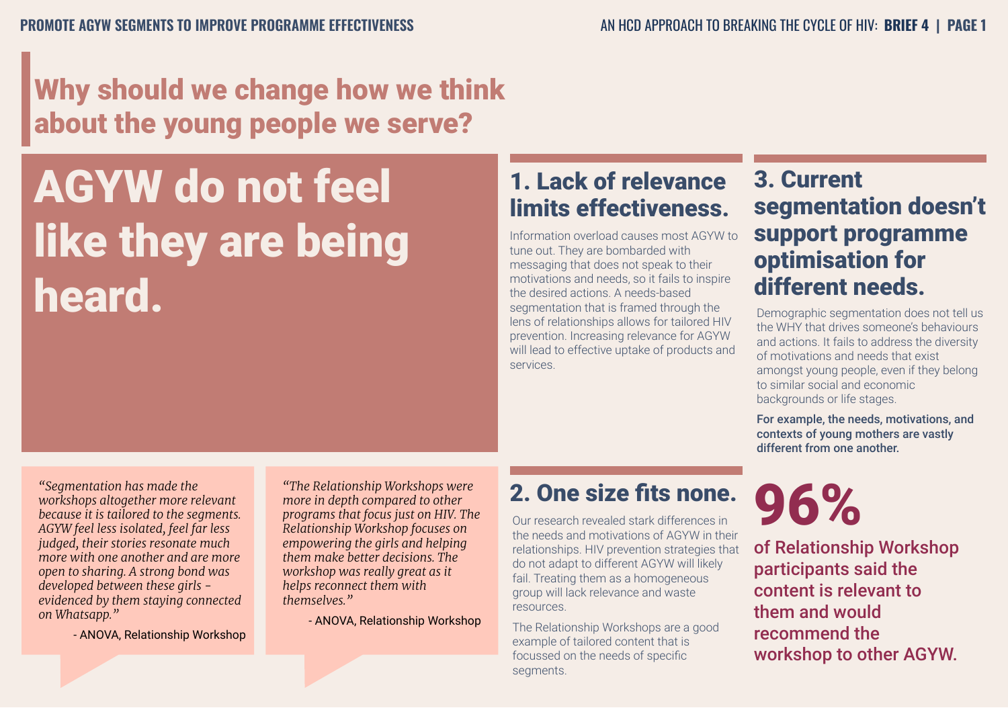### Why should we change how we think about the young people we serve?

# AGYW do not feel like they are being heard.

#### 1. Lack of relevance limits effectiveness.

Information overload causes most AGYW to tune out. They are bombarded with messaging that does not speak to their motivations and needs, so it fails to inspire the desired actions. A needs-based segmentation that is framed through the lens of relationships allows for tailored HIV prevention. Increasing relevance for AGYW will lead to effective uptake of products and services.

#### 3. Current segmentation doesn't support programme optimisation for different needs.

Demographic segmentation does not tell us the WHY that drives someone's behaviours and actions. It fails to address the diversity of motivations and needs that exist amongst young people, even if they belong to similar social and economic backgrounds or life stages.

For example, the needs, motivations, and contexts of young mothers are vastly different from one another.

*"Segmentation has made the workshops altogether more relevant because it is tailored to the segments. AGYW feel less isolated, feel far less judged, their stories resonate much more with one another and are more open to sharing. A strong bond was developed between these girls evidenced by them staying connected on Whatsapp."* 

- ANOVA, Relationship Workshop

*"The Relationship Workshops were more in depth compared to other programs that focus just on HIV. The Relationship Workshop focuses on empowering the girls and helping them make better decisions. The workshop was really great as it helps reconnect them with themselves."* 

- ANOVA, Relationship Workshop

#### 2. One size fits none.

Our research revealed stark differences in the needs and motivations of AGYW in their relationships. HIV prevention strategies that do not adapt to different AGYW will likely fail. Treating them as a homogeneous group will lack relevance and waste resources.

The Relationship Workshops are a good example of tailored content that is focussed on the needs of specific segments.

# 96%

of Relationship Workshop participants said the content is relevant to them and would recommend the workshop to other AGYW.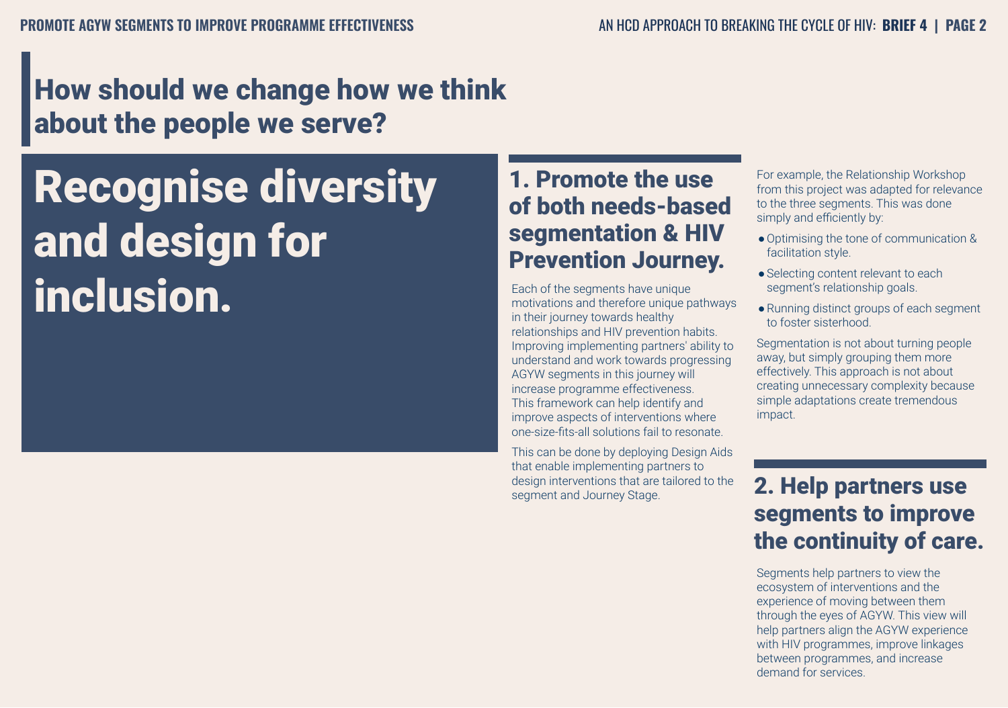### How should we change how we think about the people we serve?

## Recognise diversity and design for inclusion.

#### 1. Promote the use of both needs-based segmentation & HIV Prevention Journey.

Each of the segments have unique motivations and therefore unique pathways in their journey towards healthy relationships and HIV prevention habits. Improving implementing partners' ability to understand and work towards progressing AGYW segments in this journey will increase programme effectiveness. This framework can help identify and improve aspects of interventions where one-size-fits-all solutions fail to resonate.

This can be done by deploying Design Aids that enable implementing partners to design interventions that are tailored to the segment and Journey Stage.

For example, the Relationship Workshop from this project was adapted for relevance to the three segments. This was done simply and efficiently by:

- ●Optimising the tone of communication & facilitation style.
- Selecting content relevant to each segment's relationship goals.
- ●Running distinct groups of each segment to foster sisterhood.

Segmentation is not about turning people away, but simply grouping them more effectively. This approach is not about creating unnecessary complexity because simple adaptations create tremendous impact.

#### 2. Help partners use segments to improve the continuity of care.

Segments help partners to view the ecosystem of interventions and the experience of moving between them through the eyes of AGYW. This view will help partners align the AGYW experience with HIV programmes, improve linkages between programmes, and increase demand for services.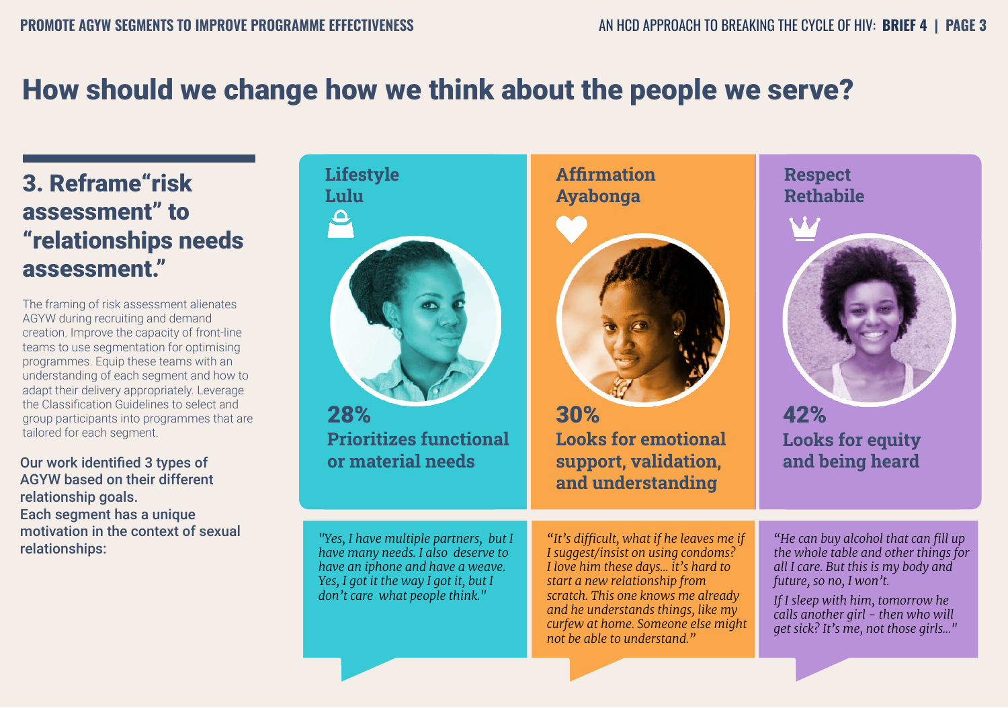### How should we change how we think about the people we serve?

#### 3. Reframe"risk assessment" to "relationships needs assessment."

The framing of risk assessment alienates AGYW during recruiting and demand creation. Improve the capacity of front-line teams to use segmentation for optimising programmes. Equip these teams with an understanding of each segment and how to adapt their delivery appropriately. Leverage the Classification Guidelines to select and group participants into programmes that are tailored for each segment.

Our work identified 3 types of AGYW based on their different relationship goals. Each segment has a unique motivation in the context of sexual